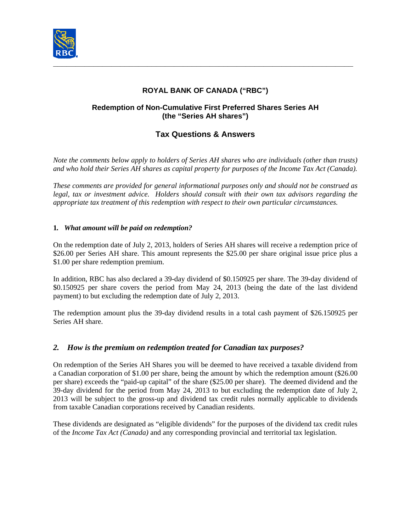

# **ROYAL BANK OF CANADA ("RBC")**

### **Redemption of Non-Cumulative First Preferred Shares Series AH (the "Series AH shares")**

# **Tax Questions & Answers**

*Note the comments below apply to holders of Series AH shares who are individuals (other than trusts) and who hold their Series AH shares as capital property for purposes of the Income Tax Act (Canada).* 

*These comments are provided for general informational purposes only and should not be construed as legal, tax or investment advice. Holders should consult with their own tax advisors regarding the appropriate tax treatment of this redemption with respect to their own particular circumstances.* 

#### **1***. What amount will be paid on redemption?*

On the redemption date of July 2, 2013, holders of Series AH shares will receive a redemption price of \$26.00 per Series AH share. This amount represents the \$25.00 per share original issue price plus a \$1.00 per share redemption premium.

In addition, RBC has also declared a 39-day dividend of \$0.150925 per share. The 39-day dividend of \$0.150925 per share covers the period from May 24, 2013 (being the date of the last dividend payment) to but excluding the redemption date of July 2, 2013.

The redemption amount plus the 39-day dividend results in a total cash payment of \$26.150925 per Series AH share.

### *2. How is the premium on redemption treated for Canadian tax purposes?*

On redemption of the Series AH Shares you will be deemed to have received a taxable dividend from a Canadian corporation of \$1.00 per share, being the amount by which the redemption amount (\$26.00 per share) exceeds the "paid-up capital" of the share (\$25.00 per share). The deemed dividend and the 39-day dividend for the period from May 24, 2013 to but excluding the redemption date of July 2, 2013 will be subject to the gross-up and dividend tax credit rules normally applicable to dividends from taxable Canadian corporations received by Canadian residents.

These dividends are designated as "eligible dividends" for the purposes of the dividend tax credit rules of the *Income Tax Act (Canada)* and any corresponding provincial and territorial tax legislation.